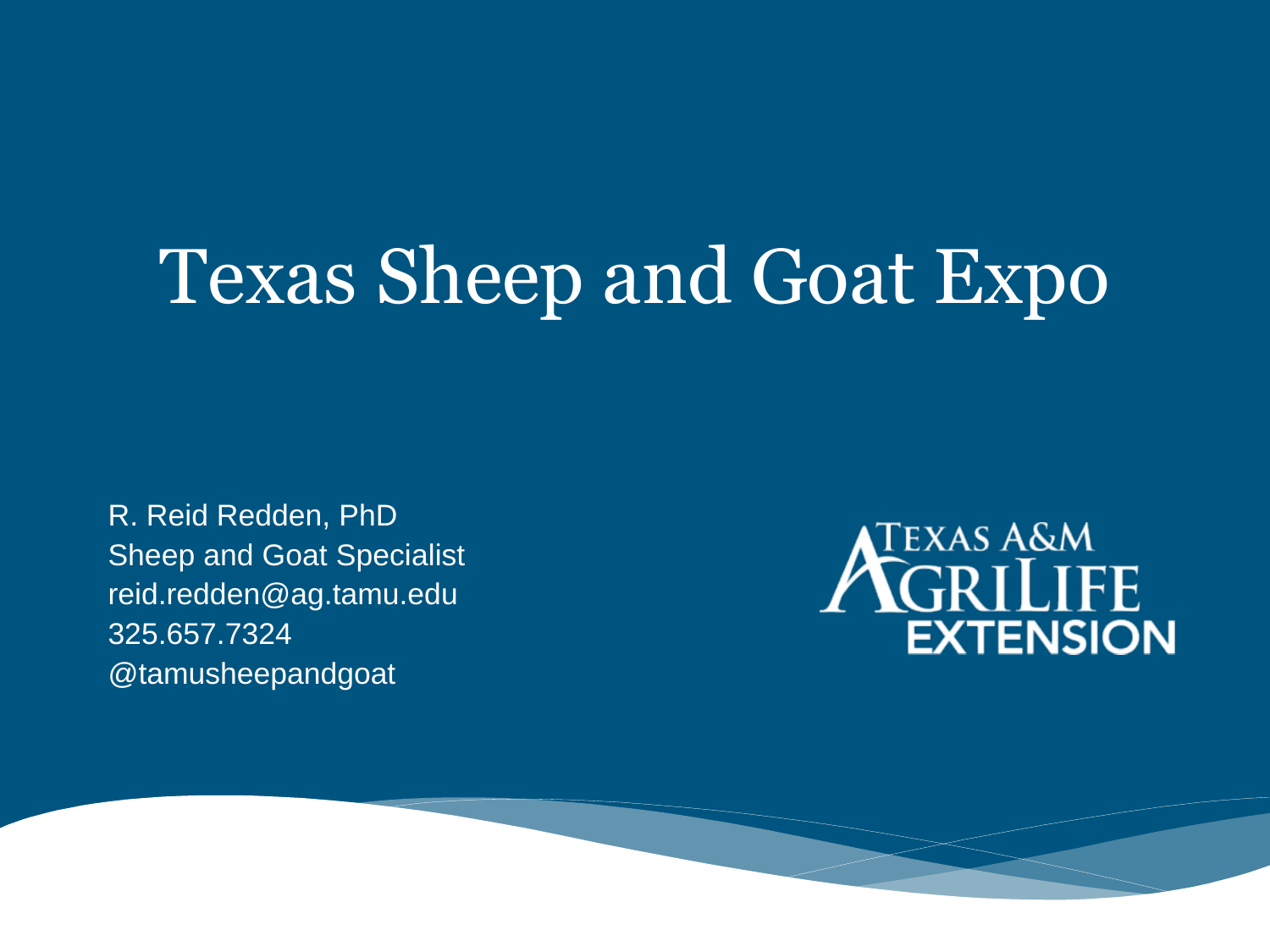R. Reid Redden, PhD Sheep and Goat Specialist reid.redden@ag.tamu.edu 325.657.7324 @tamusheepandgoat

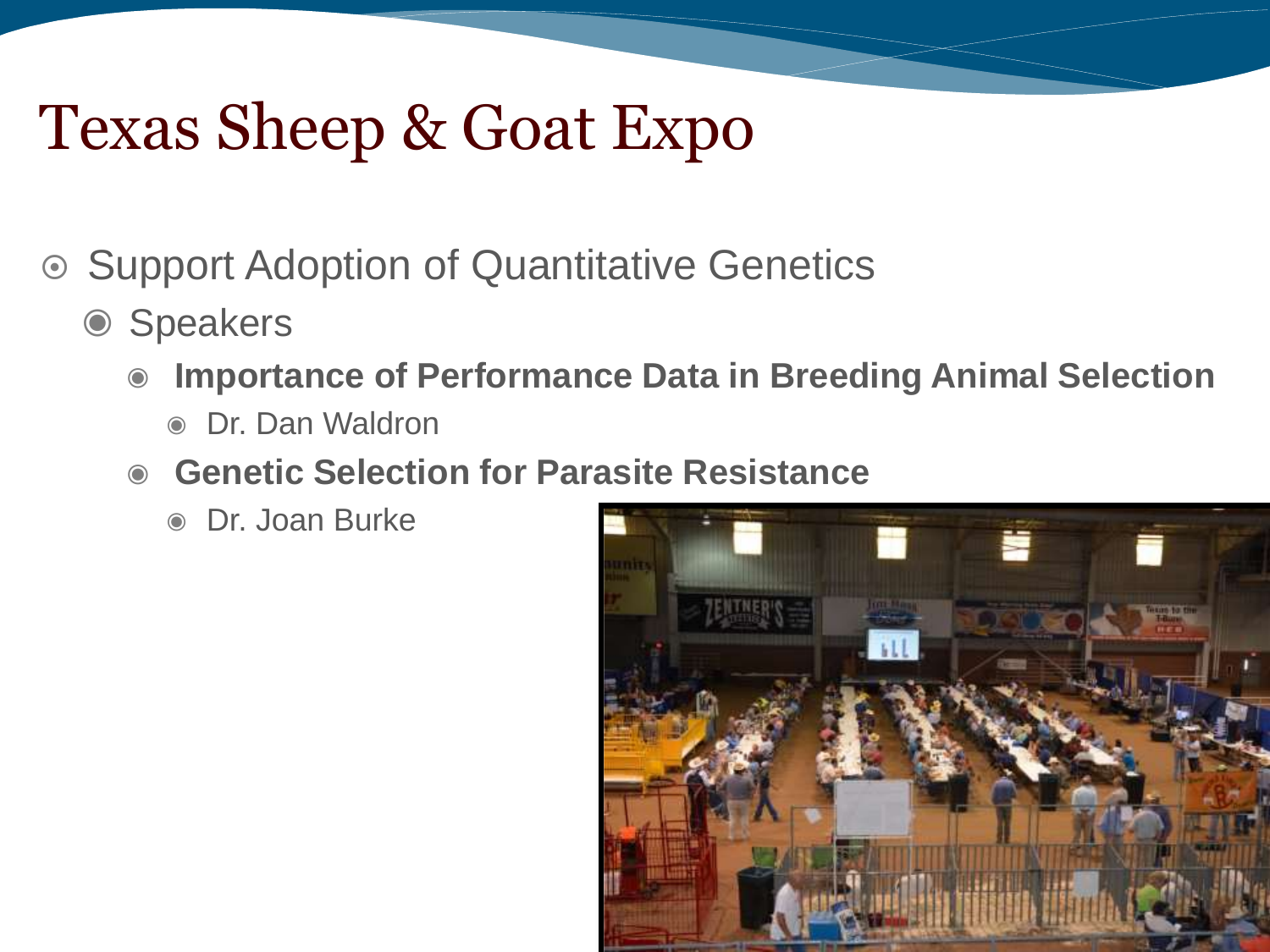- Support Adoption of Quantitative Genetics
	- ◉ Speakers
		- ◉ **Importance of Performance Data in Breeding Animal Selection** 
			- ◉ Dr. Dan Waldron
		- ◉ **Genetic Selection for Parasite Resistance**
			- ◉ Dr. Joan Burke

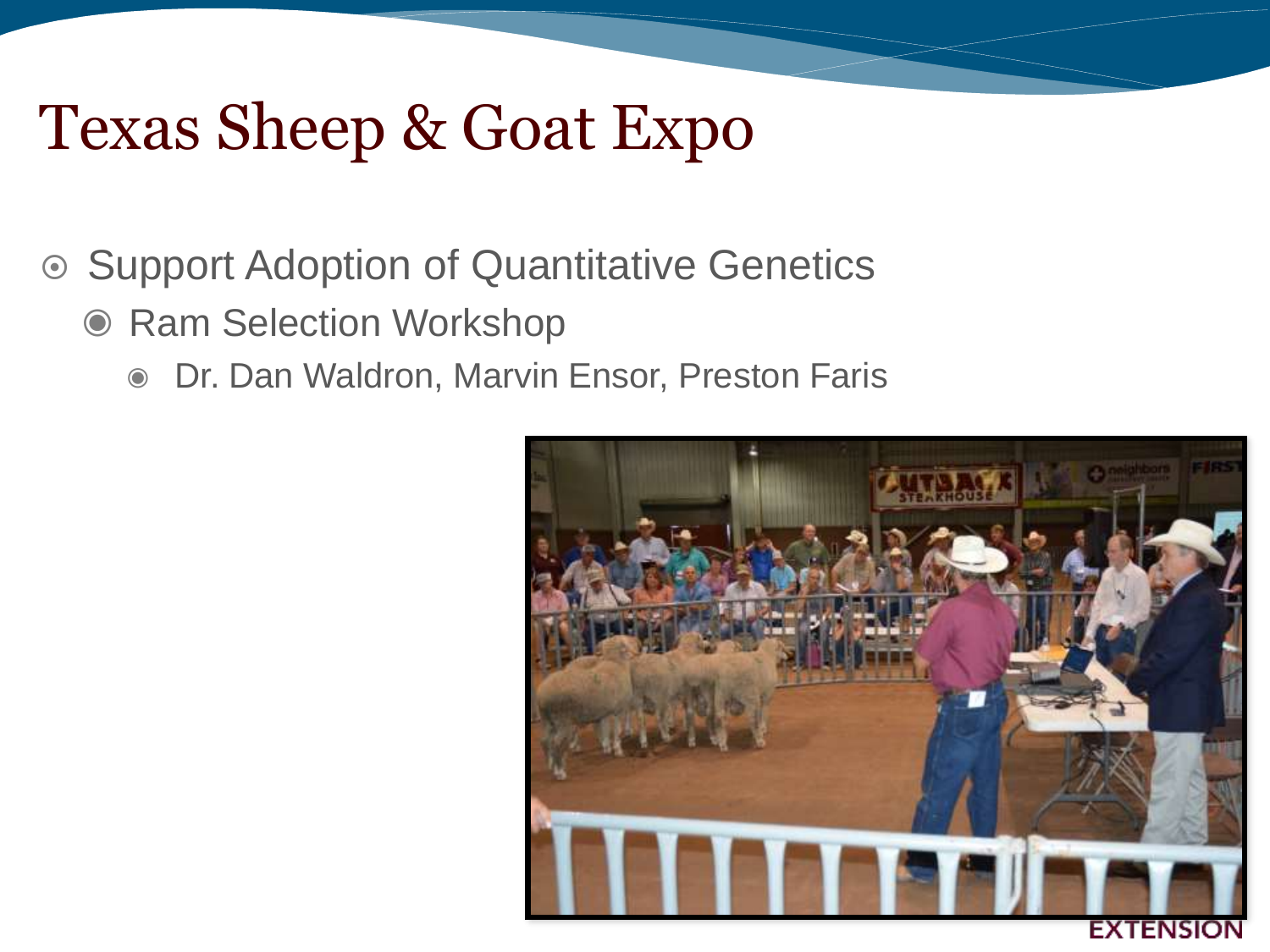#### **■ Support Adoption of Quantitative Genetics**

- Ram Selection Workshop
	- ◉ Dr. Dan Waldron, Marvin Ensor, Preston Faris

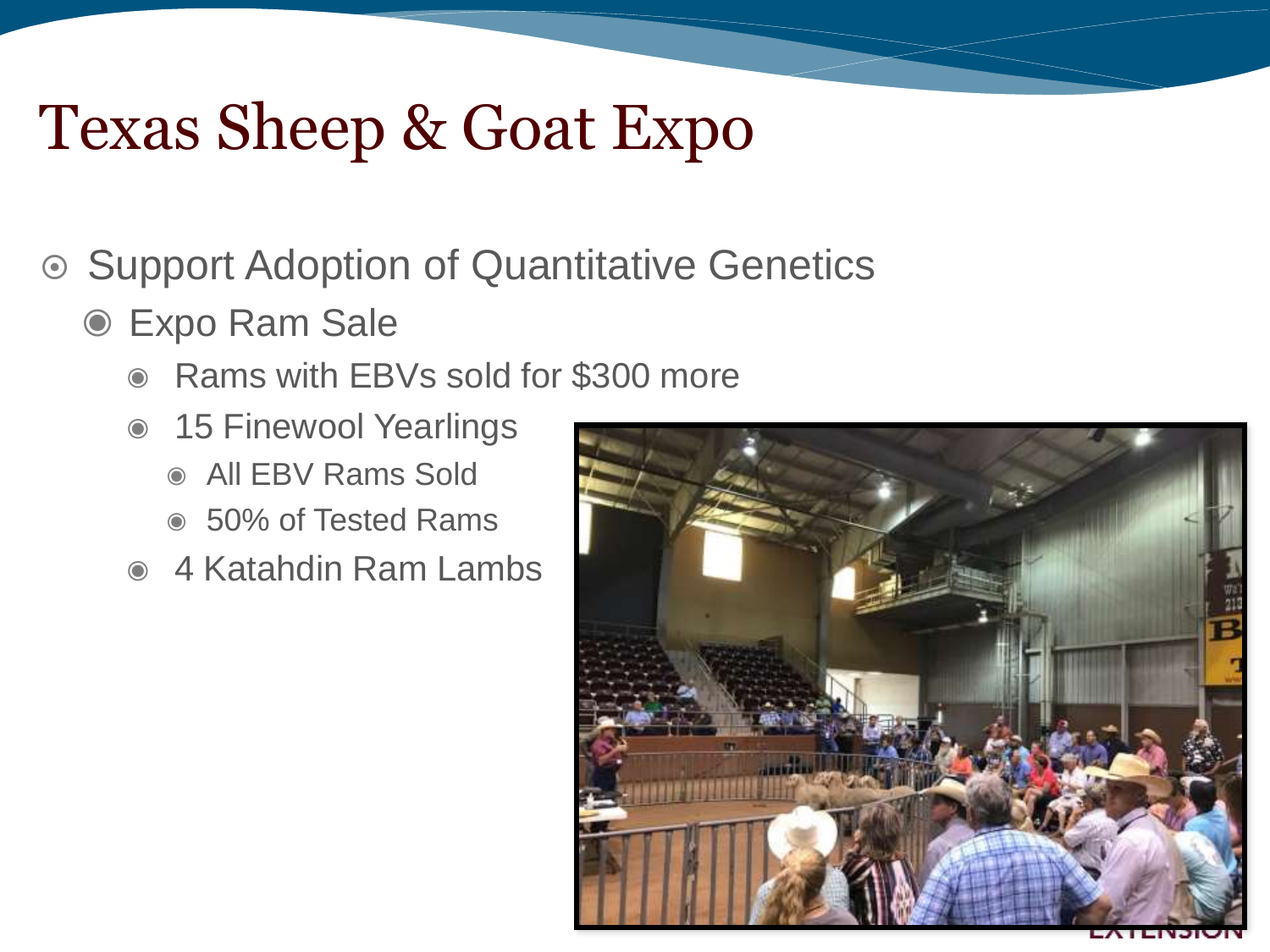- Support Adoption of Quantitative Genetics
	- ◉ Expo Ram Sale
		- ◉ Rams with EBVs sold for \$300 more
		- ◉ 15 Finewool Yearlings
			- ◉ All EBV Rams Sold
			- ◉ 50% of Tested Rams
		- ◉ 4 Katahdin Ram Lambs

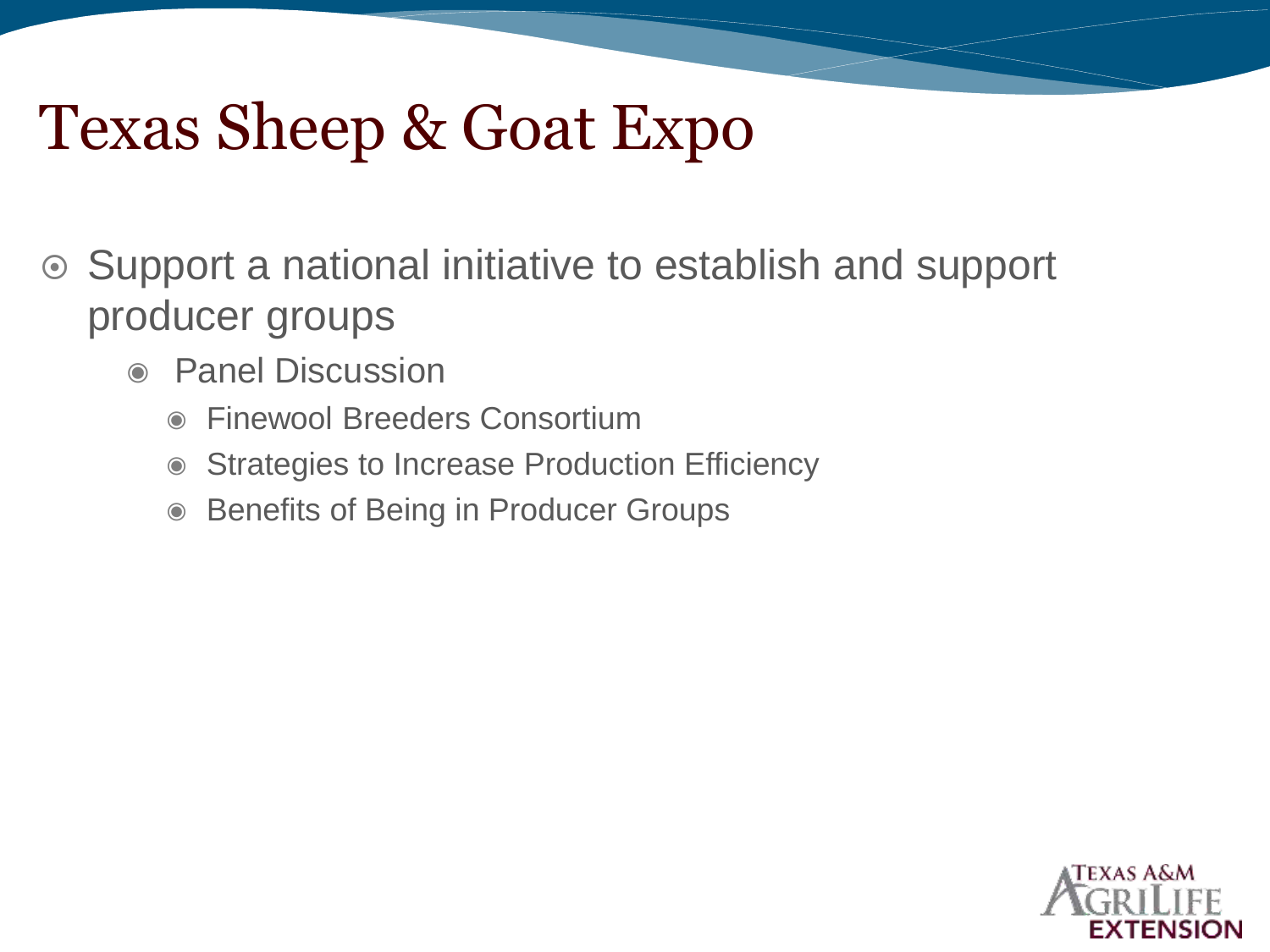- Support a national initiative to establish and support producer groups
	- ◉ Panel Discussion
		- ◉ Finewool Breeders Consortium
		- ◉ Strategies to Increase Production Efficiency
		- ◉ Benefits of Being in Producer Groups